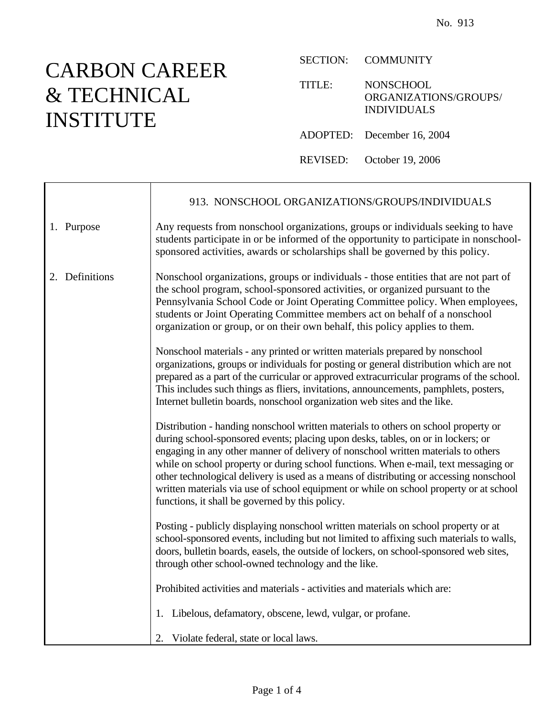## CARBON CAREER & TECHNICAL INSTITUTE

Ē

SECTION: COMMUNITY

TITLE: NONSCHOOL ORGANIZATIONS/GROUPS/ INDIVIDUALS

ADOPTED: December 16, 2004

REVISED: October 19, 2006

|                | 913. NONSCHOOL ORGANIZATIONS/GROUPS/INDIVIDUALS                                                                                                                                                                                                                                                                                                                                                                                                                                                                                                                                           |
|----------------|-------------------------------------------------------------------------------------------------------------------------------------------------------------------------------------------------------------------------------------------------------------------------------------------------------------------------------------------------------------------------------------------------------------------------------------------------------------------------------------------------------------------------------------------------------------------------------------------|
| 1. Purpose     | Any requests from nonschool organizations, groups or individuals seeking to have<br>students participate in or be informed of the opportunity to participate in nonschool-<br>sponsored activities, awards or scholarships shall be governed by this policy.                                                                                                                                                                                                                                                                                                                              |
| 2. Definitions | Nonschool organizations, groups or individuals - those entities that are not part of<br>the school program, school-sponsored activities, or organized pursuant to the<br>Pennsylvania School Code or Joint Operating Committee policy. When employees,<br>students or Joint Operating Committee members act on behalf of a nonschool<br>organization or group, or on their own behalf, this policy applies to them.                                                                                                                                                                       |
|                | Nonschool materials - any printed or written materials prepared by nonschool<br>organizations, groups or individuals for posting or general distribution which are not<br>prepared as a part of the curricular or approved extracurricular programs of the school.<br>This includes such things as fliers, invitations, announcements, pamphlets, posters,<br>Internet bulletin boards, nonschool organization web sites and the like.                                                                                                                                                    |
|                | Distribution - handing nonschool written materials to others on school property or<br>during school-sponsored events; placing upon desks, tables, on or in lockers; or<br>engaging in any other manner of delivery of nonschool written materials to others<br>while on school property or during school functions. When e-mail, text messaging or<br>other technological delivery is used as a means of distributing or accessing nonschool<br>written materials via use of school equipment or while on school property or at school<br>functions, it shall be governed by this policy. |
|                | Posting - publicly displaying nonschool written materials on school property or at<br>school-sponsored events, including but not limited to affixing such materials to walls,<br>doors, bulletin boards, easels, the outside of lockers, on school-sponsored web sites,<br>through other school-owned technology and the like.                                                                                                                                                                                                                                                            |
|                | Prohibited activities and materials - activities and materials which are:                                                                                                                                                                                                                                                                                                                                                                                                                                                                                                                 |
|                | 1. Libelous, defamatory, obscene, lewd, vulgar, or profane.                                                                                                                                                                                                                                                                                                                                                                                                                                                                                                                               |
|                | 2. Violate federal, state or local laws.                                                                                                                                                                                                                                                                                                                                                                                                                                                                                                                                                  |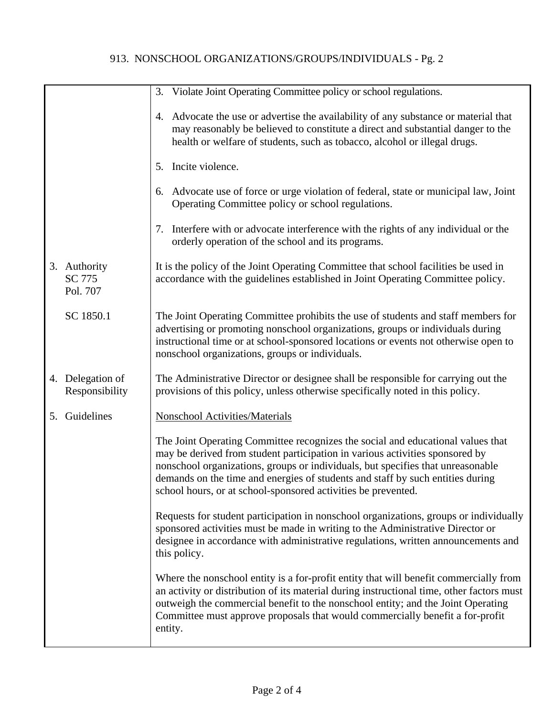## 913. NONSCHOOL ORGANIZATIONS/GROUPS/INDIVIDUALS - Pg. 2

| 3. Violate Joint Operating Committee policy or school regulations.<br>4. Advocate the use or advertise the availability of any substance or material that<br>may reasonably be believed to constitute a direct and substantial danger to the<br>health or welfare of students, such as tobacco, alcohol or illegal drugs.<br>5. Incite violence.<br>6. Advocate use of force or urge violation of federal, state or municipal law, Joint<br>Operating Committee policy or school regulations.<br>7. Interfere with or advocate interference with the rights of any individual or the<br>orderly operation of the school and its programs.<br>It is the policy of the Joint Operating Committee that school facilities be used in<br>3. Authority<br>SC 775<br>accordance with the guidelines established in Joint Operating Committee policy.<br>Pol. 707<br>SC 1850.1<br>The Joint Operating Committee prohibits the use of students and staff members for<br>advertising or promoting nonschool organizations, groups or individuals during<br>instructional time or at school-sponsored locations or events not otherwise open to<br>nonschool organizations, groups or individuals.<br>The Administrative Director or designee shall be responsible for carrying out the<br>4. Delegation of<br>provisions of this policy, unless otherwise specifically noted in this policy.<br>Responsibility<br>5. Guidelines<br><b>Nonschool Activities/Materials</b><br>The Joint Operating Committee recognizes the social and educational values that<br>may be derived from student participation in various activities sponsored by<br>nonschool organizations, groups or individuals, but specifies that unreasonable<br>demands on the time and energies of students and staff by such entities during<br>school hours, or at school-sponsored activities be prevented.<br>Requests for student participation in nonschool organizations, groups or individually<br>sponsored activities must be made in writing to the Administrative Director or<br>designee in accordance with administrative regulations, written announcements and<br>this policy.<br>Where the nonschool entity is a for-profit entity that will benefit commercially from<br>an activity or distribution of its material during instructional time, other factors must<br>outweigh the commercial benefit to the nonschool entity; and the Joint Operating |  |  |
|-----------------------------------------------------------------------------------------------------------------------------------------------------------------------------------------------------------------------------------------------------------------------------------------------------------------------------------------------------------------------------------------------------------------------------------------------------------------------------------------------------------------------------------------------------------------------------------------------------------------------------------------------------------------------------------------------------------------------------------------------------------------------------------------------------------------------------------------------------------------------------------------------------------------------------------------------------------------------------------------------------------------------------------------------------------------------------------------------------------------------------------------------------------------------------------------------------------------------------------------------------------------------------------------------------------------------------------------------------------------------------------------------------------------------------------------------------------------------------------------------------------------------------------------------------------------------------------------------------------------------------------------------------------------------------------------------------------------------------------------------------------------------------------------------------------------------------------------------------------------------------------------------------------------------------------------------------------------------------------------------------------------------------------------------------------------------------------------------------------------------------------------------------------------------------------------------------------------------------------------------------------------------------------------------------------------------------------------------------------------------------------------------------------------------------------|--|--|
|                                                                                                                                                                                                                                                                                                                                                                                                                                                                                                                                                                                                                                                                                                                                                                                                                                                                                                                                                                                                                                                                                                                                                                                                                                                                                                                                                                                                                                                                                                                                                                                                                                                                                                                                                                                                                                                                                                                                                                                                                                                                                                                                                                                                                                                                                                                                                                                                                                   |  |  |
|                                                                                                                                                                                                                                                                                                                                                                                                                                                                                                                                                                                                                                                                                                                                                                                                                                                                                                                                                                                                                                                                                                                                                                                                                                                                                                                                                                                                                                                                                                                                                                                                                                                                                                                                                                                                                                                                                                                                                                                                                                                                                                                                                                                                                                                                                                                                                                                                                                   |  |  |
|                                                                                                                                                                                                                                                                                                                                                                                                                                                                                                                                                                                                                                                                                                                                                                                                                                                                                                                                                                                                                                                                                                                                                                                                                                                                                                                                                                                                                                                                                                                                                                                                                                                                                                                                                                                                                                                                                                                                                                                                                                                                                                                                                                                                                                                                                                                                                                                                                                   |  |  |
|                                                                                                                                                                                                                                                                                                                                                                                                                                                                                                                                                                                                                                                                                                                                                                                                                                                                                                                                                                                                                                                                                                                                                                                                                                                                                                                                                                                                                                                                                                                                                                                                                                                                                                                                                                                                                                                                                                                                                                                                                                                                                                                                                                                                                                                                                                                                                                                                                                   |  |  |
|                                                                                                                                                                                                                                                                                                                                                                                                                                                                                                                                                                                                                                                                                                                                                                                                                                                                                                                                                                                                                                                                                                                                                                                                                                                                                                                                                                                                                                                                                                                                                                                                                                                                                                                                                                                                                                                                                                                                                                                                                                                                                                                                                                                                                                                                                                                                                                                                                                   |  |  |
|                                                                                                                                                                                                                                                                                                                                                                                                                                                                                                                                                                                                                                                                                                                                                                                                                                                                                                                                                                                                                                                                                                                                                                                                                                                                                                                                                                                                                                                                                                                                                                                                                                                                                                                                                                                                                                                                                                                                                                                                                                                                                                                                                                                                                                                                                                                                                                                                                                   |  |  |
|                                                                                                                                                                                                                                                                                                                                                                                                                                                                                                                                                                                                                                                                                                                                                                                                                                                                                                                                                                                                                                                                                                                                                                                                                                                                                                                                                                                                                                                                                                                                                                                                                                                                                                                                                                                                                                                                                                                                                                                                                                                                                                                                                                                                                                                                                                                                                                                                                                   |  |  |
|                                                                                                                                                                                                                                                                                                                                                                                                                                                                                                                                                                                                                                                                                                                                                                                                                                                                                                                                                                                                                                                                                                                                                                                                                                                                                                                                                                                                                                                                                                                                                                                                                                                                                                                                                                                                                                                                                                                                                                                                                                                                                                                                                                                                                                                                                                                                                                                                                                   |  |  |
|                                                                                                                                                                                                                                                                                                                                                                                                                                                                                                                                                                                                                                                                                                                                                                                                                                                                                                                                                                                                                                                                                                                                                                                                                                                                                                                                                                                                                                                                                                                                                                                                                                                                                                                                                                                                                                                                                                                                                                                                                                                                                                                                                                                                                                                                                                                                                                                                                                   |  |  |
|                                                                                                                                                                                                                                                                                                                                                                                                                                                                                                                                                                                                                                                                                                                                                                                                                                                                                                                                                                                                                                                                                                                                                                                                                                                                                                                                                                                                                                                                                                                                                                                                                                                                                                                                                                                                                                                                                                                                                                                                                                                                                                                                                                                                                                                                                                                                                                                                                                   |  |  |
|                                                                                                                                                                                                                                                                                                                                                                                                                                                                                                                                                                                                                                                                                                                                                                                                                                                                                                                                                                                                                                                                                                                                                                                                                                                                                                                                                                                                                                                                                                                                                                                                                                                                                                                                                                                                                                                                                                                                                                                                                                                                                                                                                                                                                                                                                                                                                                                                                                   |  |  |
| Committee must approve proposals that would commercially benefit a for-profit<br>entity.                                                                                                                                                                                                                                                                                                                                                                                                                                                                                                                                                                                                                                                                                                                                                                                                                                                                                                                                                                                                                                                                                                                                                                                                                                                                                                                                                                                                                                                                                                                                                                                                                                                                                                                                                                                                                                                                                                                                                                                                                                                                                                                                                                                                                                                                                                                                          |  |  |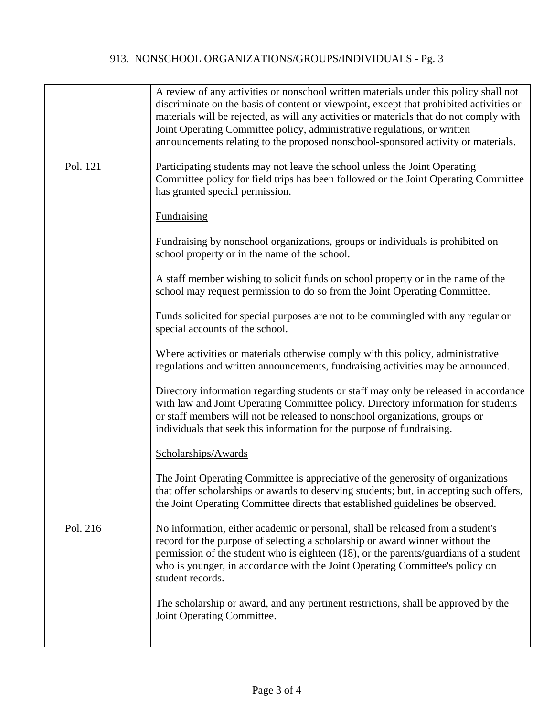## 913. NONSCHOOL ORGANIZATIONS/GROUPS/INDIVIDUALS - Pg. 3

|          | A review of any activities or nonschool written materials under this policy shall not<br>discriminate on the basis of content or viewpoint, except that prohibited activities or<br>materials will be rejected, as will any activities or materials that do not comply with<br>Joint Operating Committee policy, administrative regulations, or written<br>announcements relating to the proposed nonschool-sponsored activity or materials. |
|----------|----------------------------------------------------------------------------------------------------------------------------------------------------------------------------------------------------------------------------------------------------------------------------------------------------------------------------------------------------------------------------------------------------------------------------------------------|
| Pol. 121 | Participating students may not leave the school unless the Joint Operating<br>Committee policy for field trips has been followed or the Joint Operating Committee<br>has granted special permission.                                                                                                                                                                                                                                         |
|          | <b>Fundraising</b>                                                                                                                                                                                                                                                                                                                                                                                                                           |
|          | Fundraising by nonschool organizations, groups or individuals is prohibited on<br>school property or in the name of the school.                                                                                                                                                                                                                                                                                                              |
|          | A staff member wishing to solicit funds on school property or in the name of the<br>school may request permission to do so from the Joint Operating Committee.                                                                                                                                                                                                                                                                               |
|          | Funds solicited for special purposes are not to be commingled with any regular or<br>special accounts of the school.                                                                                                                                                                                                                                                                                                                         |
|          | Where activities or materials otherwise comply with this policy, administrative<br>regulations and written announcements, fundraising activities may be announced.                                                                                                                                                                                                                                                                           |
|          | Directory information regarding students or staff may only be released in accordance<br>with law and Joint Operating Committee policy. Directory information for students<br>or staff members will not be released to nonschool organizations, groups or<br>individuals that seek this information for the purpose of fundraising.                                                                                                           |
|          | Scholarships/Awards                                                                                                                                                                                                                                                                                                                                                                                                                          |
|          | The Joint Operating Committee is appreciative of the generosity of organizations<br>that offer scholarships or awards to deserving students; but, in accepting such offers,<br>the Joint Operating Committee directs that established guidelines be observed.                                                                                                                                                                                |
| Pol. 216 | No information, either academic or personal, shall be released from a student's<br>record for the purpose of selecting a scholarship or award winner without the<br>permission of the student who is eighteen (18), or the parents/guardians of a student<br>who is younger, in accordance with the Joint Operating Committee's policy on<br>student records.                                                                                |
|          | The scholarship or award, and any pertinent restrictions, shall be approved by the<br>Joint Operating Committee.                                                                                                                                                                                                                                                                                                                             |
|          |                                                                                                                                                                                                                                                                                                                                                                                                                                              |